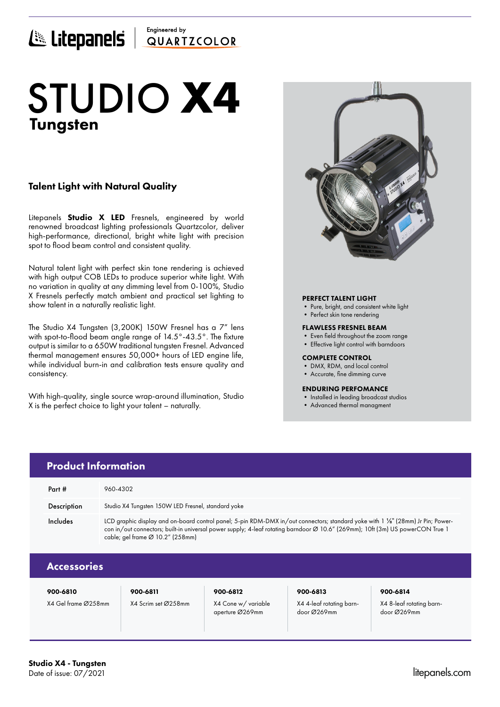# Engineered by ELICEPANELS QUARTICOLOR

# Tungsten STUDIO **X4**

# Talent Light with Natural Quality

Litepanels **Studio X LED** Fresnels, engineered by world renowned broadcast lighting professionals Quartzcolor, deliver high-performance, directional, bright white light with precision spot to flood beam control and consistent quality.

Natural talent light with perfect skin tone rendering is achieved with high output COB LEDs to produce superior white light. With no variation in quality at any dimming level from 0-100%, Studio X Fresnels perfectly match ambient and practical set lighting to show talent in a naturally realistic light.

The Studio X4 Tungsten (3,200K) 150W Fresnel has a 7" lens with spot-to-flood beam angle range of 14.5°-43.5°. The fixture output is similar to a 650W traditional tungsten Fresnel. Advanced thermal management ensures 50,000+ hours of LED engine life, while individual burn-in and calibration tests ensure quality and consistency.

With high-quality, single source wrap-around illumination, Studio X is the perfect choice to light your talent – naturally.



# PERFECT TALENT LIGHT

- Pure, bright, and consistent white light
- Perfect skin tone rendering

### FLAWLESS FRESNEL BEAM

- Even field throughout the zoom range
- Effective light control with barndoors

### COMPLETE CONTROL

- DMX, RDM, and local control
- Accurate, fine dimming curve

### ENDURING PERFOMANCE

- Installed in leading broadcast studios
- Advanced thermal managment

|                    | <b>Product Information</b>                                                                                                                                                                                                                                                                                         |          |          |          |  |
|--------------------|--------------------------------------------------------------------------------------------------------------------------------------------------------------------------------------------------------------------------------------------------------------------------------------------------------------------|----------|----------|----------|--|
| Part #             | 960-4302                                                                                                                                                                                                                                                                                                           |          |          |          |  |
| Description        | Studio X4 Tungsten 150W LED Fresnel, standard yoke                                                                                                                                                                                                                                                                 |          |          |          |  |
| Includes           | LCD graphic display and on-board control panel; 5-pin RDM-DMX in/out connectors; standard yoke with 1 1/8" (28mm) Jr Pin; Power-<br>con in/out connectors; built-in universal power supply; 4-leaf rotating barndoor Ø 10.6" (269mm); 10ft (3m) US powerCON True 1<br>cable; gel frame $\varnothing$ 10.2" (258mm) |          |          |          |  |
| <b>Accessories</b> |                                                                                                                                                                                                                                                                                                                    |          |          |          |  |
| 900-6810           | 900-6811                                                                                                                                                                                                                                                                                                           | 900-6812 | 900-6813 | 900-6814 |  |

X4 Gel frame Ø258mm X4 Scrim set Ø258mm X4 Cone w/ variable

aperture Ø269mm

X4 4-leaf rotating barndoor Ø269mm

X4 8-leaf rotating barndoor Ø269mm